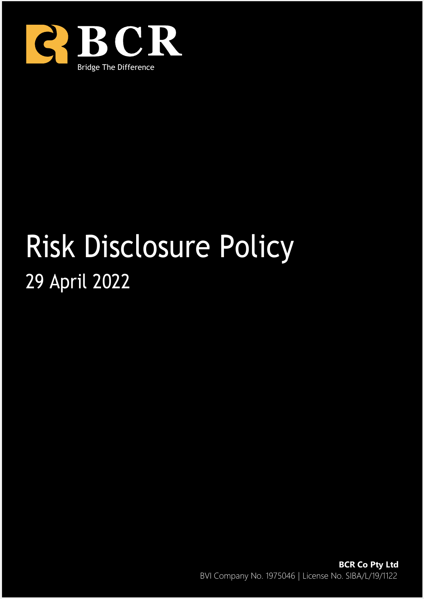

# Risk Disclosure Policy 29 April 2022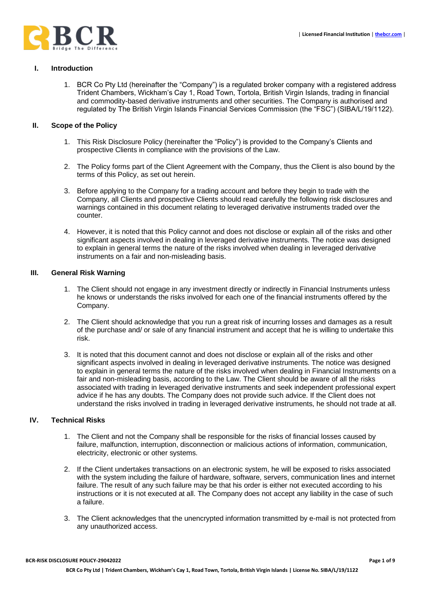## **I. Introduction**

1. BCR Co Pty Ltd (hereinafter the "Company") is a regulated broker company with a registered address Trident Chambers, Wickham's Cay 1, Road Town, Tortola, British Virgin Islands, trading in financial and commodity-based derivative instruments and other securities. The Company is authorised and regulated by The British Virgin Islands Financial Services Commission (the "FSC") (SIBA/L/19/1122).

#### **II. Scope of the Policy**

- 1. This Risk Disclosure Policy (hereinafter the "Policy") is provided to the Company's Clients and prospective Clients in compliance with the provisions of the Law.
- 2. The Policy forms part of the Client Agreement with the Company, thus the Client is also bound by the terms of this Policy, as set out herein.
- 3. Before applying to the Company for a trading account and before they begin to trade with the Company, all Clients and prospective Clients should read carefully the following risk disclosures and warnings contained in this document relating to leveraged derivative instruments traded over the counter.
- 4. However, it is noted that this Policy cannot and does not disclose or explain all of the risks and other significant aspects involved in dealing in leveraged derivative instruments. The notice was designed to explain in general terms the nature of the risks involved when dealing in leveraged derivative instruments on a fair and non-misleading basis.

#### **III. General Risk Warning**

- 1. The Client should not engage in any investment directly or indirectly in Financial Instruments unless he knows or understands the risks involved for each one of the financial instruments offered by the Company.
- 2. The Client should acknowledge that you run a great risk of incurring losses and damages as a result of the purchase and/ or sale of any financial instrument and accept that he is willing to undertake this risk.
- 3. It is noted that this document cannot and does not disclose or explain all of the risks and other significant aspects involved in dealing in leveraged derivative instruments. The notice was designed to explain in general terms the nature of the risks involved when dealing in Financial Instruments on a fair and non-misleading basis, according to the Law. The Client should be aware of all the risks associated with trading in leveraged derivative instruments and seek independent professional expert advice if he has any doubts. The Company does not provide such advice. If the Client does not understand the risks involved in trading in leveraged derivative instruments, he should not trade at all.

## **IV. Technical Risks**

- 1. The Client and not the Company shall be responsible for the risks of financial losses caused by failure, malfunction, interruption, disconnection or malicious actions of information, communication, electricity, electronic or other systems.
- 2. If the Client undertakes transactions on an electronic system, he will be exposed to risks associated with the system including the failure of hardware, software, servers, communication lines and internet failure. The result of any such failure may be that his order is either not executed according to his instructions or it is not executed at all. The Company does not accept any liability in the case of such a failure.
- 3. The Client acknowledges that the unencrypted information transmitted by e-mail is not protected from any unauthorized access.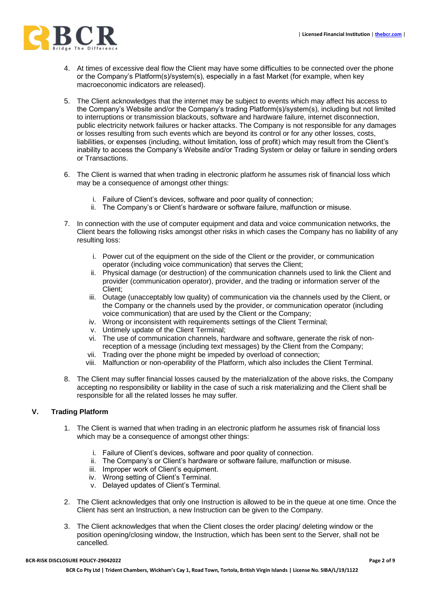

- 4. At times of excessive deal flow the Client may have some difficulties to be connected over the phone or the Company's Platform(s)/system(s), especially in a fast Market (for example, when key macroeconomic indicators are released).
- 5. The Client acknowledges that the internet may be subject to events which may affect his access to the Company's Website and/or the Company's trading Platform(s)/system(s), including but not limited to interruptions or transmission blackouts, software and hardware failure, internet disconnection, public electricity network failures or hacker attacks. The Company is not responsible for any damages or losses resulting from such events which are beyond its control or for any other losses, costs, liabilities, or expenses (including, without limitation, loss of profit) which may result from the Client's inability to access the Company's Website and/or Trading System or delay or failure in sending orders or Transactions.
- 6. The Client is warned that when trading in electronic platform he assumes risk of financial loss which may be a consequence of amongst other things:
	- i. Failure of Client's devices, software and poor quality of connection;
	- ii. The Company's or Client's hardware or software failure, malfunction or misuse.
- 7. In connection with the use of computer equipment and data and voice communication networks, the Client bears the following risks amongst other risks in which cases the Company has no liability of any resulting loss:
	- i. Power cut of the equipment on the side of the Client or the provider, or communication operator (including voice communication) that serves the Client;
	- ii. Physical damage (or destruction) of the communication channels used to link the Client and provider (communication operator), provider, and the trading or information server of the Client;
	- iii. Outage (unacceptably low quality) of communication via the channels used by the Client, or the Company or the channels used by the provider, or communication operator (including voice communication) that are used by the Client or the Company;
	- iv. Wrong or inconsistent with requirements settings of the Client Terminal;
	- v. Untimely update of the Client Terminal;
	- vi. The use of communication channels, hardware and software, generate the risk of nonreception of a message (including text messages) by the Client from the Company;
	- vii. Trading over the phone might be impeded by overload of connection;
	- viii. Malfunction or non-operability of the Platform, which also includes the Client Terminal.
- 8. The Client may suffer financial losses caused by the materialization of the above risks, the Company accepting no responsibility or liability in the case of such a risk materializing and the Client shall be responsible for all the related losses he may suffer.

## **V. Trading Platform**

- 1. The Client is warned that when trading in an electronic platform he assumes risk of financial loss which may be a consequence of amongst other things:
	- i. Failure of Client's devices, software and poor quality of connection.
	- ii. The Company's or Client's hardware or software failure, malfunction or misuse.
	- iii. Improper work of Client's equipment.
	- iv. Wrong setting of Client's Terminal.
	- v. Delayed updates of Client's Terminal.
- 2. The Client acknowledges that only one Instruction is allowed to be in the queue at one time. Once the Client has sent an Instruction, a new Instruction can be given to the Company.
- 3. The Client acknowledges that when the Client closes the order placing/ deleting window or the position opening/closing window, the Instruction, which has been sent to the Server, shall not be cancelled.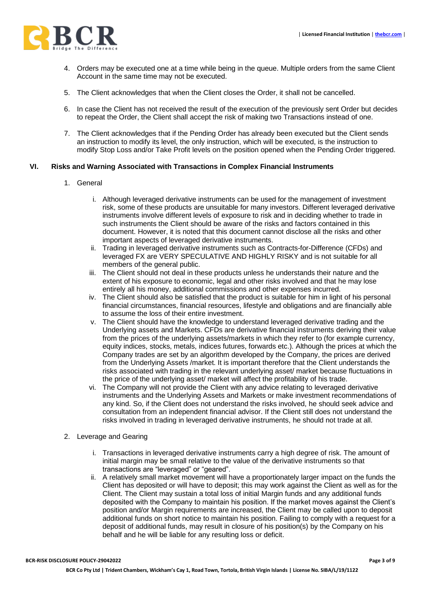

- 4. Orders may be executed one at a time while being in the queue. Multiple orders from the same Client Account in the same time may not be executed.
- 5. The Client acknowledges that when the Client closes the Order, it shall not be cancelled.
- 6. In case the Client has not received the result of the execution of the previously sent Order but decides to repeat the Order, the Client shall accept the risk of making two Transactions instead of one.
- 7. The Client acknowledges that if the Pending Order has already been executed but the Client sends an instruction to modify its level, the only instruction, which will be executed, is the instruction to modify Stop Loss and/or Take Profit levels on the position opened when the Pending Order triggered.

#### **VI. Risks and Warning Associated with Transactions in Complex Financial Instruments**

- 1. General
	- i. Although leveraged derivative instruments can be used for the management of investment risk, some of these products are unsuitable for many investors. Different leveraged derivative instruments involve different levels of exposure to risk and in deciding whether to trade in such instruments the Client should be aware of the risks and factors contained in this document. However, it is noted that this document cannot disclose all the risks and other important aspects of leveraged derivative instruments.
	- ii. Trading in leveraged derivative instruments such as Contracts-for-Difference (CFDs) and leveraged FX are VERY SPECULATIVE AND HIGHLY RISKY and is not suitable for all members of the general public.
	- iii. The Client should not deal in these products unless he understands their nature and the extent of his exposure to economic, legal and other risks involved and that he may lose entirely all his money, additional commissions and other expenses incurred.
	- iv. The Client should also be satisfied that the product is suitable for him in light of his personal financial circumstances, financial resources, lifestyle and obligations and are financially able to assume the loss of their entire investment.
	- v. The Client should have the knowledge to understand leveraged derivative trading and the Underlying assets and Markets. CFDs are derivative financial instruments deriving their value from the prices of the underlying assets/markets in which they refer to (for example currency, equity indices, stocks, metals, indices futures, forwards etc.). Although the prices at which the Company trades are set by an algorithm developed by the Company, the prices are derived from the Underlying Assets /market. It is important therefore that the Client understands the risks associated with trading in the relevant underlying asset/ market because fluctuations in the price of the underlying asset/ market will affect the profitability of his trade.
	- vi. The Company will not provide the Client with any advice relating to leveraged derivative instruments and the Underlying Assets and Markets or make investment recommendations of any kind. So, if the Client does not understand the risks involved, he should seek advice and consultation from an independent financial advisor. If the Client still does not understand the risks involved in trading in leveraged derivative instruments, he should not trade at all.
- 2. Leverage and Gearing
	- i. Transactions in leveraged derivative instruments carry a high degree of risk. The amount of initial margin may be small relative to the value of the derivative instruments so that transactions are "leveraged" or "geared".
	- ii. A relatively small market movement will have a proportionately larger impact on the funds the Client has deposited or will have to deposit; this may work against the Client as well as for the Client. The Client may sustain a total loss of initial Margin funds and any additional funds deposited with the Company to maintain his position. If the market moves against the Client's position and/or Margin requirements are increased, the Client may be called upon to deposit additional funds on short notice to maintain his position. Failing to comply with a request for a deposit of additional funds, may result in closure of his position(s) by the Company on his behalf and he will be liable for any resulting loss or deficit.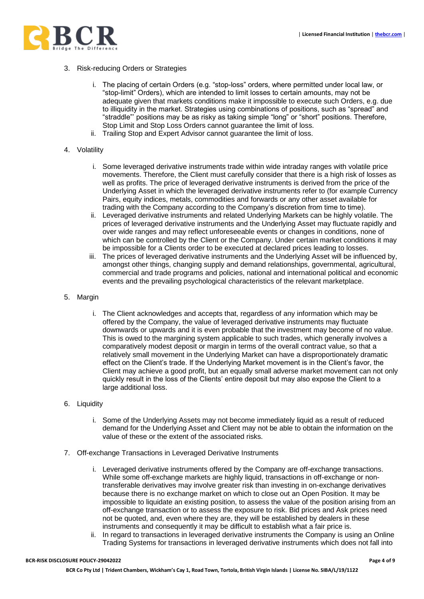

- 3. Risk-reducing Orders or Strategies
	- i. The placing of certain Orders (e.g. "stop-loss" orders, where permitted under local law, or "stop-limit" Orders), which are intended to limit losses to certain amounts, may not be adequate given that markets conditions make it impossible to execute such Orders, e.g. due to illiquidity in the market. Strategies using combinations of positions, such as "spread" and "straddle"' positions may be as risky as taking simple "long" or "short" positions. Therefore, Stop Limit and Stop Loss Orders cannot guarantee the limit of loss.
	- ii. Trailing Stop and Expert Advisor cannot guarantee the limit of loss.

#### 4. Volatility

- i. Some leveraged derivative instruments trade within wide intraday ranges with volatile price movements. Therefore, the Client must carefully consider that there is a high risk of losses as well as profits. The price of leveraged derivative instruments is derived from the price of the Underlying Asset in which the leveraged derivative instruments refer to (for example Currency Pairs, equity indices, metals, commodities and forwards or any other asset available for trading with the Company according to the Company's discretion from time to time).
- ii. Leveraged derivative instruments and related Underlying Markets can be highly volatile. The prices of leveraged derivative instruments and the Underlying Asset may fluctuate rapidly and over wide ranges and may reflect unforeseeable events or changes in conditions, none of which can be controlled by the Client or the Company. Under certain market conditions it may be impossible for a Clients order to be executed at declared prices leading to losses.
- iii. The prices of leveraged derivative instruments and the Underlying Asset will be influenced by, amongst other things, changing supply and demand relationships, governmental, agricultural, commercial and trade programs and policies, national and international political and economic events and the prevailing psychological characteristics of the relevant marketplace.
- 5. Margin
	- i. The Client acknowledges and accepts that, regardless of any information which may be offered by the Company, the value of leveraged derivative instruments may fluctuate downwards or upwards and it is even probable that the investment may become of no value. This is owed to the margining system applicable to such trades, which generally involves a comparatively modest deposit or margin in terms of the overall contract value, so that a relatively small movement in the Underlying Market can have a disproportionately dramatic effect on the Client's trade. If the Underlying Market movement is in the Client's favor, the Client may achieve a good profit, but an equally small adverse market movement can not only quickly result in the loss of the Clients' entire deposit but may also expose the Client to a large additional loss.
- 6. Liquidity
	- i. Some of the Underlying Assets may not become immediately liquid as a result of reduced demand for the Underlying Asset and Client may not be able to obtain the information on the value of these or the extent of the associated risks.
- 7. Off-exchange Transactions in Leveraged Derivative Instruments
	- i. Leveraged derivative instruments offered by the Company are off-exchange transactions. While some off-exchange markets are highly liquid, transactions in off-exchange or nontransferable derivatives may involve greater risk than investing in on-exchange derivatives because there is no exchange market on which to close out an Open Position. It may be impossible to liquidate an existing position, to assess the value of the position arising from an off-exchange transaction or to assess the exposure to risk. Bid prices and Ask prices need not be quoted, and, even where they are, they will be established by dealers in these instruments and consequently it may be difficult to establish what a fair price is.
	- ii. In regard to transactions in leveraged derivative instruments the Company is using an Online Trading Systems for transactions in leveraged derivative instruments which does not fall into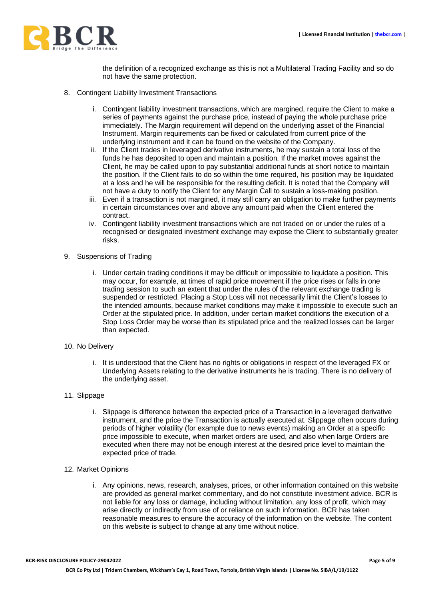

the definition of a recognized exchange as this is not a Multilateral Trading Facility and so do not have the same protection.

- 8. Contingent Liability Investment Transactions
	- i. Contingent liability investment transactions, which are margined, require the Client to make a series of payments against the purchase price, instead of paying the whole purchase price immediately. The Margin requirement will depend on the underlying asset of the Financial Instrument. Margin requirements can be fixed or calculated from current price of the underlying instrument and it can be found on the website of the Company.
	- ii. If the Client trades in leveraged derivative instruments, he may sustain a total loss of the funds he has deposited to open and maintain a position. If the market moves against the Client, he may be called upon to pay substantial additional funds at short notice to maintain the position. If the Client fails to do so within the time required, his position may be liquidated at a loss and he will be responsible for the resulting deficit. It is noted that the Company will not have a duty to notify the Client for any Margin Call to sustain a loss-making position.
	- iii. Even if a transaction is not margined, it may still carry an obligation to make further payments in certain circumstances over and above any amount paid when the Client entered the contract.
	- iv. Contingent liability investment transactions which are not traded on or under the rules of a recognised or designated investment exchange may expose the Client to substantially greater risks.
- 9. Suspensions of Trading
	- i. Under certain trading conditions it may be difficult or impossible to liquidate a position. This may occur, for example, at times of rapid price movement if the price rises or falls in one trading session to such an extent that under the rules of the relevant exchange trading is suspended or restricted. Placing a Stop Loss will not necessarily limit the Client's losses to the intended amounts, because market conditions may make it impossible to execute such an Order at the stipulated price. In addition, under certain market conditions the execution of a Stop Loss Order may be worse than its stipulated price and the realized losses can be larger than expected.
- 10. No Delivery
	- i. It is understood that the Client has no rights or obligations in respect of the leveraged FX or Underlying Assets relating to the derivative instruments he is trading. There is no delivery of the underlying asset.
- 11. Slippage
	- i. Slippage is difference between the expected price of a Transaction in a leveraged derivative instrument, and the price the Transaction is actually executed at. Slippage often occurs during periods of higher volatility (for example due to news events) making an Order at a specific price impossible to execute, when market orders are used, and also when large Orders are executed when there may not be enough interest at the desired price level to maintain the expected price of trade.
- 12. Market Opinions
	- i. Any opinions, news, research, analyses, prices, or other information contained on this website are provided as general market commentary, and do not constitute investment advice. BCR is not liable for any loss or damage, including without limitation, any loss of profit, which may arise directly or indirectly from use of or reliance on such information. BCR has taken reasonable measures to ensure the accuracy of the information on the website. The content on this website is subject to change at any time without notice.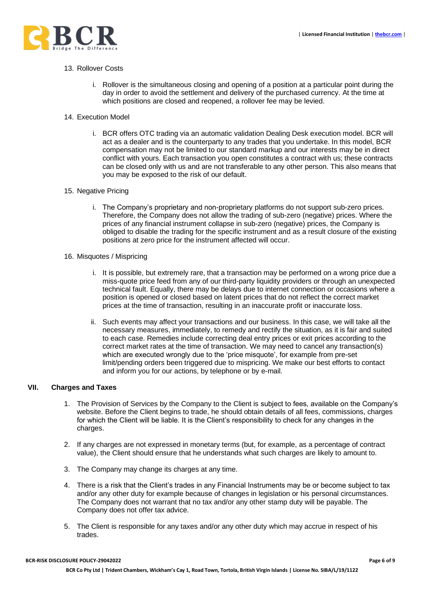

#### 13. Rollover Costs

- i. Rollover is the simultaneous closing and opening of a position at a particular point during the day in order to avoid the settlement and delivery of the purchased currency. At the time at which positions are closed and reopened, a rollover fee may be levied.
- 14. Execution Model
	- i. BCR offers OTC trading via an automatic validation Dealing Desk execution model. BCR will act as a dealer and is the counterparty to any trades that you undertake. In this model, BCR compensation may not be limited to our standard markup and our interests may be in direct conflict with yours. Each transaction you open constitutes a contract with us; these contracts can be closed only with us and are not transferable to any other person. This also means that you may be exposed to the risk of our default.

## 15. Negative Pricing

- i. The Company's proprietary and non-proprietary platforms do not support sub-zero prices. Therefore, the Company does not allow the trading of sub-zero (negative) prices. Where the prices of any financial instrument collapse in sub-zero (negative) prices, the Company is obliged to disable the trading for the specific instrument and as a result closure of the existing positions at zero price for the instrument affected will occur.
- 16. Misquotes / Mispricing
	- i. It is possible, but extremely rare, that a transaction may be performed on a wrong price due a miss-quote price feed from any of our third-party liquidity providers or through an unexpected technical fault. Equally, there may be delays due to internet connection or occasions where a position is opened or closed based on latent prices that do not reflect the correct market prices at the time of transaction, resulting in an inaccurate profit or inaccurate loss.
	- ii. Such events may affect your transactions and our business. In this case, we will take all the necessary measures, immediately, to remedy and rectify the situation, as it is fair and suited to each case. Remedies include correcting deal entry prices or exit prices according to the correct market rates at the time of transaction. We may need to cancel any transaction(s) which are executed wrongly due to the 'price misquote', for example from pre-set limit/pending orders been triggered due to mispricing. We make our best efforts to contact and inform you for our actions, by telephone or by e-mail.

## **VII. Charges and Taxes**

- 1. The Provision of Services by the Company to the Client is subject to fees, available on the Company's website. Before the Client begins to trade, he should obtain details of all fees, commissions, charges for which the Client will be liable. It is the Client's responsibility to check for any changes in the charges.
- 2. If any charges are not expressed in monetary terms (but, for example, as a percentage of contract value), the Client should ensure that he understands what such charges are likely to amount to.
- 3. The Company may change its charges at any time.
- 4. There is a risk that the Client's trades in any Financial Instruments may be or become subject to tax and/or any other duty for example because of changes in legislation or his personal circumstances. The Company does not warrant that no tax and/or any other stamp duty will be payable. The Company does not offer tax advice.
- 5. The Client is responsible for any taxes and/or any other duty which may accrue in respect of his trades.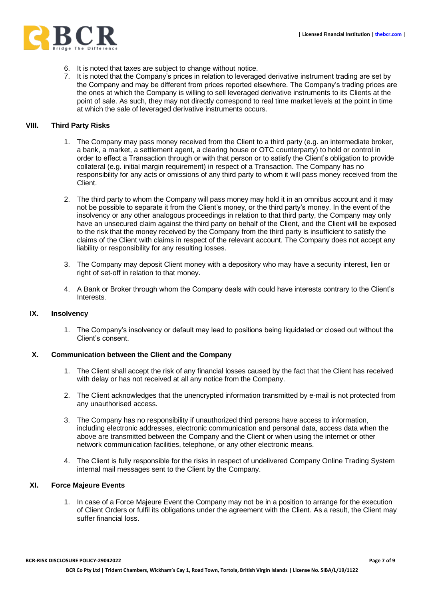

- 6. It is noted that taxes are subject to change without notice.
- 7. It is noted that the Company's prices in relation to leveraged derivative instrument trading are set by the Company and may be different from prices reported elsewhere. The Company's trading prices are the ones at which the Company is willing to sell leveraged derivative instruments to its Clients at the point of sale. As such, they may not directly correspond to real time market levels at the point in time at which the sale of leveraged derivative instruments occurs.

## **VIII. Third Party Risks**

- 1. The Company may pass money received from the Client to a third party (e.g. an intermediate broker, a bank, a market, a settlement agent, a clearing house or OTC counterparty) to hold or control in order to effect a Transaction through or with that person or to satisfy the Client's obligation to provide collateral (e.g. initial margin requirement) in respect of a Transaction. The Company has no responsibility for any acts or omissions of any third party to whom it will pass money received from the Client.
- 2. The third party to whom the Company will pass money may hold it in an omnibus account and it may not be possible to separate it from the Client's money, or the third party's money. In the event of the insolvency or any other analogous proceedings in relation to that third party, the Company may only have an unsecured claim against the third party on behalf of the Client, and the Client will be exposed to the risk that the money received by the Company from the third party is insufficient to satisfy the claims of the Client with claims in respect of the relevant account. The Company does not accept any liability or responsibility for any resulting losses.
- 3. The Company may deposit Client money with a depository who may have a security interest, lien or right of set-off in relation to that money.
- 4. A Bank or Broker through whom the Company deals with could have interests contrary to the Client's Interests.

#### **IX. Insolvency**

1. The Company's insolvency or default may lead to positions being liquidated or closed out without the Client's consent.

# **X. Communication between the Client and the Company**

- 1. The Client shall accept the risk of any financial losses caused by the fact that the Client has received with delay or has not received at all any notice from the Company.
- 2. The Client acknowledges that the unencrypted information transmitted by e-mail is not protected from any unauthorised access.
- 3. The Company has no responsibility if unauthorized third persons have access to information, including electronic addresses, electronic communication and personal data, access data when the above are transmitted between the Company and the Client or when using the internet or other network communication facilities, telephone, or any other electronic means.
- 4. The Client is fully responsible for the risks in respect of undelivered Company Online Trading System internal mail messages sent to the Client by the Company.

#### **XI. Force Majeure Events**

1. In case of a Force Majeure Event the Company may not be in a position to arrange for the execution of Client Orders or fulfil its obligations under the agreement with the Client. As a result, the Client may suffer financial loss.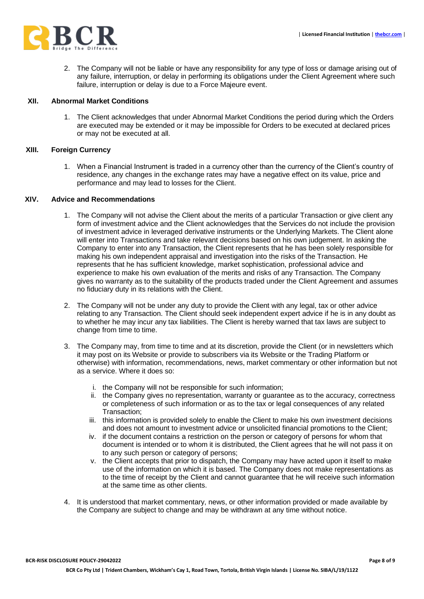

2. The Company will not be liable or have any responsibility for any type of loss or damage arising out of any failure, interruption, or delay in performing its obligations under the Client Agreement where such failure, interruption or delay is due to a Force Majeure event.

## **XII. Abnormal Market Conditions**

1. The Client acknowledges that under Abnormal Market Conditions the period during which the Orders are executed may be extended or it may be impossible for Orders to be executed at declared prices or may not be executed at all.

## **XIII. Foreign Currency**

1. When a Financial Instrument is traded in a currency other than the currency of the Client's country of residence, any changes in the exchange rates may have a negative effect on its value, price and performance and may lead to losses for the Client.

# **XIV. Advice and Recommendations**

- 1. The Company will not advise the Client about the merits of a particular Transaction or give client any form of investment advice and the Client acknowledges that the Services do not include the provision of investment advice in leveraged derivative instruments or the Underlying Markets. The Client alone will enter into Transactions and take relevant decisions based on his own judgement. In asking the Company to enter into any Transaction, the Client represents that he has been solely responsible for making his own independent appraisal and investigation into the risks of the Transaction. He represents that he has sufficient knowledge, market sophistication, professional advice and experience to make his own evaluation of the merits and risks of any Transaction. The Company gives no warranty as to the suitability of the products traded under the Client Agreement and assumes no fiduciary duty in its relations with the Client.
- 2. The Company will not be under any duty to provide the Client with any legal, tax or other advice relating to any Transaction. The Client should seek independent expert advice if he is in any doubt as to whether he may incur any tax liabilities. The Client is hereby warned that tax laws are subject to change from time to time.
- 3. The Company may, from time to time and at its discretion, provide the Client (or in newsletters which it may post on its Website or provide to subscribers via its Website or the Trading Platform or otherwise) with information, recommendations, news, market commentary or other information but not as a service. Where it does so:
	- i. the Company will not be responsible for such information;
	- ii. the Company gives no representation, warranty or guarantee as to the accuracy, correctness or completeness of such information or as to the tax or legal consequences of any related Transaction;
	- iii. this information is provided solely to enable the Client to make his own investment decisions and does not amount to investment advice or unsolicited financial promotions to the Client;
	- iv. if the document contains a restriction on the person or category of persons for whom that document is intended or to whom it is distributed, the Client agrees that he will not pass it on to any such person or category of persons;
	- v. the Client accepts that prior to dispatch, the Company may have acted upon it itself to make use of the information on which it is based. The Company does not make representations as to the time of receipt by the Client and cannot guarantee that he will receive such information at the same time as other clients.
- 4. It is understood that market commentary, news, or other information provided or made available by the Company are subject to change and may be withdrawn at any time without notice.